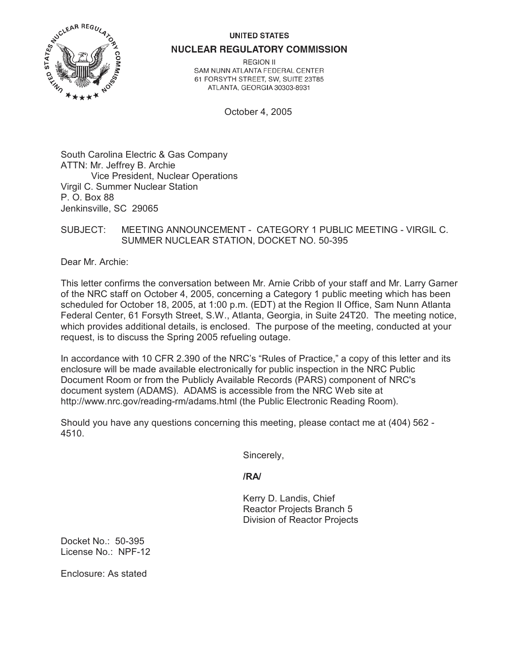## **UNITED STATES**



**NUCLEAR REGULATORY COMMISSION** 

**REGION II** SAM NUNN ATLANTA FEDERAL CENTER 61 FORSYTH STREET, SW, SUITE 23T85 ATLANTA, GEORGIA 30303-8931

October 4, 2005

South Carolina Electric & Gas Company ATTN: Mr. Jeffrey B. Archie Vice President, Nuclear Operations Virgil C. Summer Nuclear Station P. O. Box 88 Jenkinsville, SC 29065

## SUBJECT: MEETING ANNOUNCEMENT - CATEGORY 1 PUBLIC MEETING - VIRGIL C. SUMMER NUCLEAR STATION, DOCKET NO. 50-395

Dear Mr. Archie:

This letter confirms the conversation between Mr. Arnie Cribb of your staff and Mr. Larry Garner of the NRC staff on October 4, 2005, concerning a Category 1 public meeting which has been scheduled for October 18, 2005, at 1:00 p.m. (EDT) at the Region II Office, Sam Nunn Atlanta Federal Center, 61 Forsyth Street, S.W., Atlanta, Georgia, in Suite 24T20. The meeting notice, which provides additional details, is enclosed. The purpose of the meeting, conducted at your request, is to discuss the Spring 2005 refueling outage.

In accordance with 10 CFR 2.390 of the NRC's "Rules of Practice," a copy of this letter and its enclosure will be made available electronically for public inspection in the NRC Public Document Room or from the Publicly Available Records (PARS) component of NRC's document system (ADAMS). ADAMS is accessible from the NRC Web site at http://www.nrc.gov/reading-rm/adams.html (the Public Electronic Reading Room).

Should you have any questions concerning this meeting, please contact me at (404) 562 - 4510.

Sincerely,

**/RA/**

Kerry D. Landis, Chief Reactor Projects Branch 5 Division of Reactor Projects

Docket No.: 50-395 License No.: NPF-12

Enclosure: As stated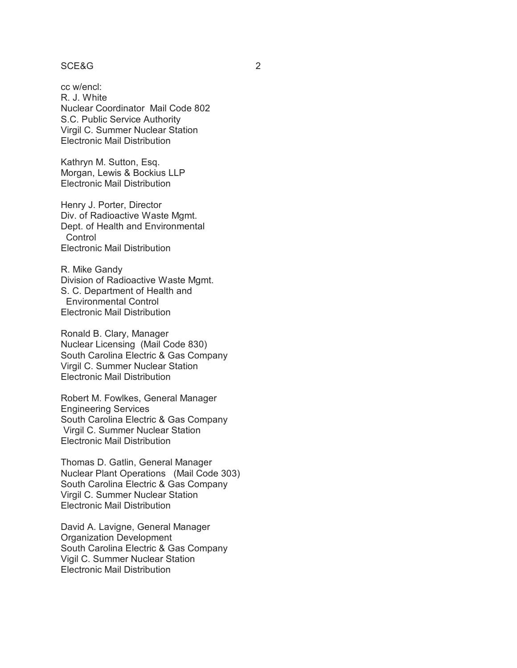## SCE&G 2

cc w/encl: R. J. White Nuclear Coordinator Mail Code 802 S.C. Public Service Authority Virgil C. Summer Nuclear Station Electronic Mail Distribution

Kathryn M. Sutton, Esq. Morgan, Lewis & Bockius LLP Electronic Mail Distribution

Henry J. Porter, Director Div. of Radioactive Waste Mgmt. Dept. of Health and Environmental **Control** Electronic Mail Distribution

R. Mike Gandy Division of Radioactive Waste Mgmt. S. C. Department of Health and Environmental Control Electronic Mail Distribution

Ronald B. Clary, Manager Nuclear Licensing (Mail Code 830) South Carolina Electric & Gas Company Virgil C. Summer Nuclear Station Electronic Mail Distribution

Robert M. Fowlkes, General Manager Engineering Services South Carolina Electric & Gas Company Virgil C. Summer Nuclear Station Electronic Mail Distribution

Thomas D. Gatlin, General Manager Nuclear Plant Operations (Mail Code 303) South Carolina Electric & Gas Company Virgil C. Summer Nuclear Station Electronic Mail Distribution

David A. Lavigne, General Manager Organization Development South Carolina Electric & Gas Company Vigil C. Summer Nuclear Station Electronic Mail Distribution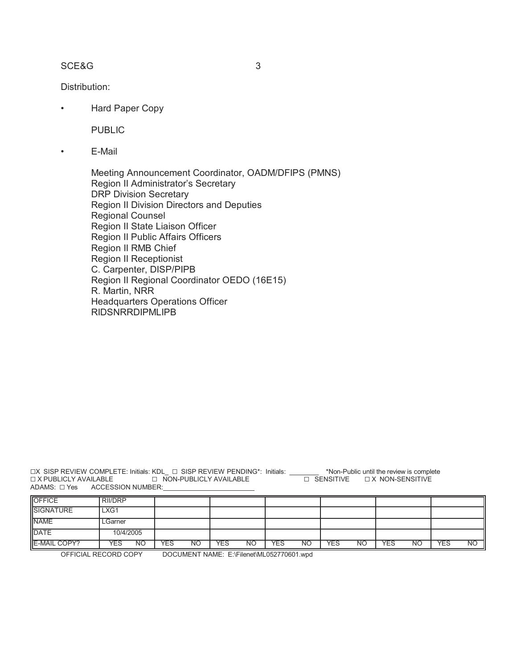## SCE&G 3

Distribution:

• Hard Paper Copy

PUBLIC

• E-Mail

Meeting Announcement Coordinator, OADM/DFIPS (PMNS) Region II Administrator's Secretary DRP Division Secretary Region II Division Directors and Deputies Regional Counsel Region II State Liaison Officer Region II Public Affairs Officers Region II RMB Chief Region II Receptionist C. Carpenter, DISP/PIPB Region II Regional Coordinator OEDO (16E15) R. Martin, NRR Headquarters Operations Officer RIDSNRRDIPMLIPB

GX SISP REVIEW COMPLETE: Initials: KDL\_ G SISP REVIEW PENDING\*: Initials: \_\_\_\_\_\_\_\_ \*Non-Public until the review is complete  $\Box$  X publicly available  $\hfill\Box$  non-publicly available  $\hfill\Box$  sensitive  $\hfill\Box$  x non-sensitive ADAMS: G Yes ACCESSION NUMBER:\_\_\_\_\_\_\_\_\_\_\_\_\_\_\_\_\_\_\_\_\_\_\_\_\_

| <b>OFFICE</b>       | <b>RII/DRP</b> |    |     |           |     |           |            |           |            |           |            |           |            |           |
|---------------------|----------------|----|-----|-----------|-----|-----------|------------|-----------|------------|-----------|------------|-----------|------------|-----------|
| <b>SIGNATURE</b>    | LXG1           |    |     |           |     |           |            |           |            |           |            |           |            |           |
| <b>NAME</b>         | LGarner        |    |     |           |     |           |            |           |            |           |            |           |            |           |
| <b>DATE</b>         | 10/4/2005      |    |     |           |     |           |            |           |            |           |            |           |            |           |
| <b>E-MAIL COPY?</b> | <b>YES</b>     | NΟ | YES | <b>NO</b> | YES | <b>NO</b> | <b>YES</b> | <b>NO</b> | <b>YES</b> | <b>NO</b> | <b>YES</b> | <b>NO</b> | <b>YES</b> | <b>NO</b> |

OFFICIAL RECORD COPY DOCUMENT NAME: E:\Filenet\ML052770601.wpd